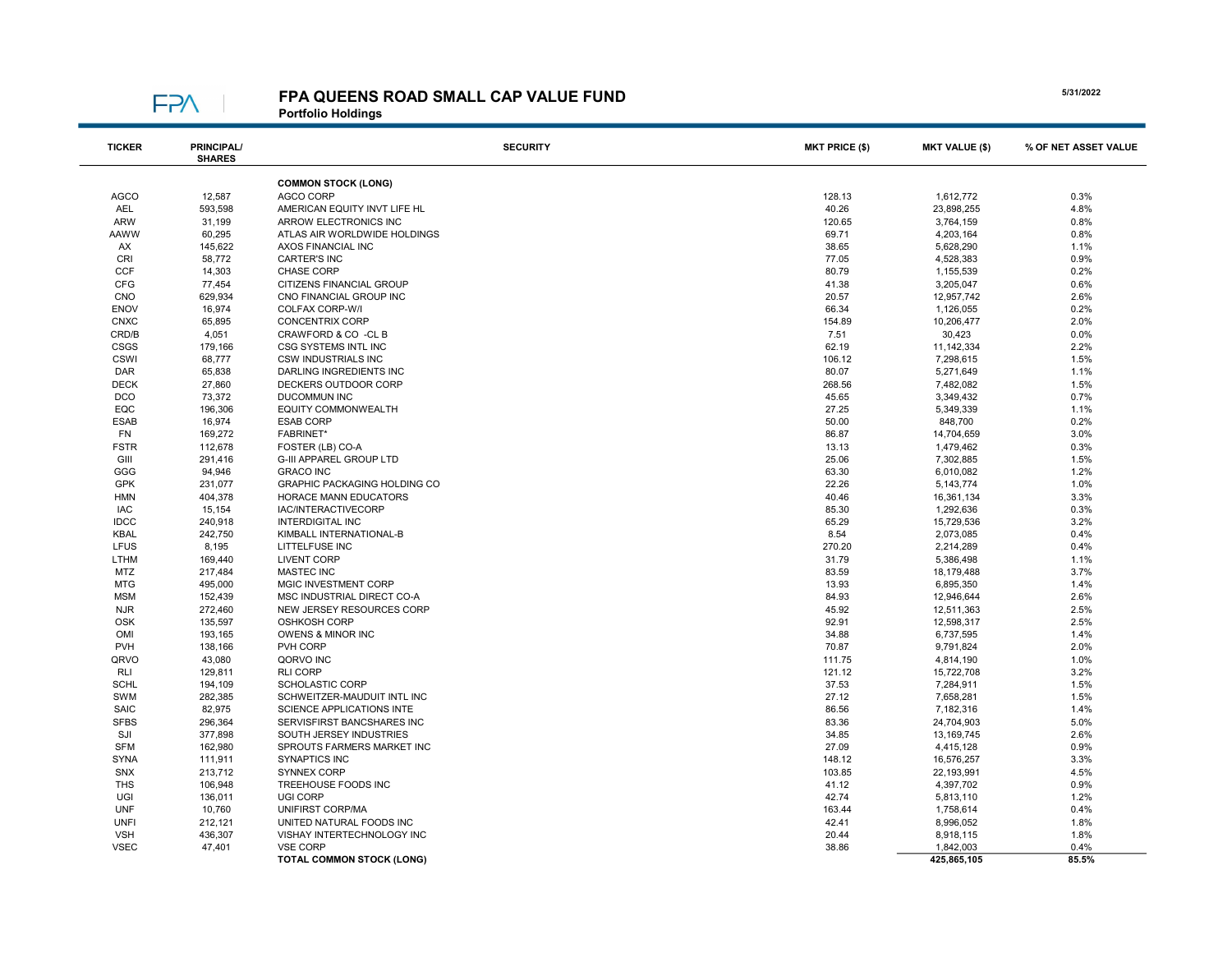

## FPA QUEENS ROAD SMALL CAP VALUE FUND

Portfolio Holdings

| <b>TICKER</b> | <b>PRINCIPAL/</b><br><b>SHARES</b> | <b>SECURITY</b>                  | <b>MKT PRICE (\$)</b> | <b>MKT VALUE (\$)</b> | % OF NET ASSET VALUE |
|---------------|------------------------------------|----------------------------------|-----------------------|-----------------------|----------------------|
|               |                                    | <b>COMMON STOCK (LONG)</b>       |                       |                       |                      |
| <b>AGCO</b>   | 12,587                             | AGCO CORP                        | 128.13                | 1,612,772             | 0.3%                 |
| <b>AEL</b>    | 593,598                            | AMERICAN EQUITY INVT LIFE HL     | 40.26                 | 23,898,255            | 4.8%                 |
| <b>ARW</b>    | 31,199                             | ARROW ELECTRONICS INC            | 120.65                | 3,764,159             | 0.8%                 |
| AAWW          | 60,295                             | ATLAS AIR WORLDWIDE HOLDINGS     | 69.71                 | 4,203,164             | 0.8%                 |
| AX            | 145,622                            | AXOS FINANCIAL INC               | 38.65                 | 5,628,290             | 1.1%                 |
| <b>CRI</b>    | 58,772                             | <b>CARTER'S INC</b>              | 77.05                 | 4,528,383             | 0.9%                 |
| <b>CCF</b>    | 14,303                             | CHASE CORP                       | 80.79                 | 1,155,539             | 0.2%                 |
| <b>CFG</b>    | 77,454                             | CITIZENS FINANCIAL GROUP         | 41.38                 | 3,205,047             | 0.6%                 |
| <b>CNO</b>    | 629,934                            | CNO FINANCIAL GROUP INC          | 20.57                 | 12,957,742            | 2.6%                 |
| <b>ENOV</b>   | 16,974                             | COLFAX CORP-W/I                  | 66.34                 | 1,126,055             | 0.2%                 |
|               |                                    | <b>CONCENTRIX CORP</b>           | 154.89                |                       | 2.0%                 |
| <b>CNXC</b>   | 65,895                             |                                  |                       | 10,206,477            |                      |
| CRD/B         | 4,051                              | CRAWFORD & CO -CL B              | 7.51                  | 30,423                | 0.0%                 |
| CSGS          | 179,166                            | <b>CSG SYSTEMS INTL INC</b>      | 62.19                 | 11, 142, 334          | 2.2%                 |
| CSWI          | 68,777                             | <b>CSW INDUSTRIALS INC</b>       | 106.12                | 7,298,615             | 1.5%                 |
| <b>DAR</b>    | 65,838                             | DARLING INGREDIENTS INC          | 80.07                 | 5,271,649             | 1.1%                 |
| <b>DECK</b>   | 27,860                             | DECKERS OUTDOOR CORP             | 268.56                | 7,482,082             | 1.5%                 |
| DCO           | 73,372                             | <b>DUCOMMUN INC</b>              | 45.65                 | 3,349,432             | 0.7%                 |
| EQC           | 196,306                            | <b>EQUITY COMMONWEALTH</b>       | 27.25                 | 5,349,339             | 1.1%                 |
| <b>ESAB</b>   | 16,974                             | <b>ESAB CORP</b>                 | 50.00                 | 848,700               | 0.2%                 |
| <b>FN</b>     | 169,272                            | <b>FABRINET*</b>                 | 86.87                 | 14,704,659            | 3.0%                 |
| <b>FSTR</b>   | 112,678                            | FOSTER (LB) CO-A                 | 13.13                 | 1,479,462             | 0.3%                 |
| GIII          | 291,416                            | G-III APPAREL GROUP LTD          | 25.06                 | 7,302,885             | 1.5%                 |
| GGG           | 94,946                             | <b>GRACO INC</b>                 | 63.30                 | 6,010,082             | 1.2%                 |
| GPK           | 231,077                            | GRAPHIC PACKAGING HOLDING CO     | 22.26                 | 5, 143, 774           | 1.0%                 |
| <b>HMN</b>    | 404,378                            | HORACE MANN EDUCATORS            | 40.46                 | 16,361,134            | 3.3%                 |
| <b>IAC</b>    | 15,154                             | IAC/INTERACTIVECORP              | 85.30                 | 1,292,636             | 0.3%                 |
| <b>IDCC</b>   | 240,918                            | <b>INTERDIGITAL INC</b>          | 65.29                 | 15,729,536            | 3.2%                 |
| <b>KBAL</b>   | 242,750                            | KIMBALL INTERNATIONAL-B          | 8.54                  | 2,073,085             | 0.4%                 |
| LFUS          | 8,195                              | LITTELFUSE INC                   | 270.20                | 2,214,289             | 0.4%                 |
| LTHM          | 169,440                            | <b>LIVENT CORP</b>               | 31.79                 | 5,386,498             | 1.1%                 |
| <b>MTZ</b>    | 217,484                            | <b>MASTEC INC</b>                | 83.59                 | 18,179,488            | 3.7%                 |
| <b>MTG</b>    | 495,000                            | MGIC INVESTMENT CORP             | 13.93                 | 6,895,350             | 1.4%                 |
| <b>MSM</b>    | 152,439                            | MSC INDUSTRIAL DIRECT CO-A       | 84.93                 | 12,946,644            | 2.6%                 |
| <b>NJR</b>    | 272,460                            | NEW JERSEY RESOURCES CORP        | 45.92                 | 12,511,363            | 2.5%                 |
| <b>OSK</b>    | 135,597                            | <b>OSHKOSH CORP</b>              | 92.91                 | 12,598,317            | 2.5%                 |
| OMI           | 193,165                            | OWENS & MINOR INC                | 34.88                 | 6,737,595             | 1.4%                 |
| <b>PVH</b>    | 138,166                            | PVH CORP                         | 70.87                 | 9,791,824             | 2.0%                 |
| QRVO          | 43,080                             | QORVO INC                        | 111.75                | 4,814,190             | 1.0%                 |
| <b>RLI</b>    | 129,811                            | <b>RLI CORP</b>                  | 121.12                | 15,722,708            | 3.2%                 |
| <b>SCHL</b>   | 194,109                            | <b>SCHOLASTIC CORP</b>           | 37.53                 | 7,284,911             | 1.5%                 |
| <b>SWM</b>    | 282,385                            | SCHWEITZER-MAUDUIT INTL INC      | 27.12                 | 7,658,281             | 1.5%                 |
| <b>SAIC</b>   | 82,975                             | SCIENCE APPLICATIONS INTE        | 86.56                 | 7,182,316             | 1.4%                 |
| <b>SFBS</b>   | 296,364                            | SERVISFIRST BANCSHARES INC       | 83.36                 | 24,704,903            | 5.0%                 |
| SJI           | 377,898                            | SOUTH JERSEY INDUSTRIES          | 34.85                 | 13,169,745            | 2.6%                 |
| <b>SFM</b>    | 162,980                            | SPROUTS FARMERS MARKET INC       | 27.09                 | 4,415,128             | 0.9%                 |
| <b>SYNA</b>   | 111,911                            | <b>SYNAPTICS INC</b>             | 148.12                | 16,576,257            | 3.3%                 |
| SNX           | 213,712                            | SYNNEX CORP                      | 103.85                | 22,193,991            | 4.5%                 |
| <b>THS</b>    | 106,948                            | TREEHOUSE FOODS INC              | 41.12                 | 4,397,702             | 0.9%                 |
| UGI           | 136,011                            | UGI CORP                         | 42.74                 | 5,813,110             | 1.2%                 |
| <b>UNF</b>    |                                    |                                  |                       |                       | 0.4%                 |
|               | 10,760                             | UNIFIRST CORP/MA                 | 163.44                | 1,758,614             |                      |
| <b>UNFI</b>   | 212,121                            | UNITED NATURAL FOODS INC         | 42.41                 | 8,996,052             | 1.8%                 |
| <b>VSH</b>    | 436,307                            | VISHAY INTERTECHNOLOGY INC       | 20.44                 | 8,918,115             | 1.8%                 |
| <b>VSEC</b>   | 47,401                             | <b>VSE CORP</b>                  | 38.86                 | 1,842,003             | 0.4%                 |
|               |                                    | <b>TOTAL COMMON STOCK (LONG)</b> |                       | 425,865,105           | 85.5%                |

5/31/2022